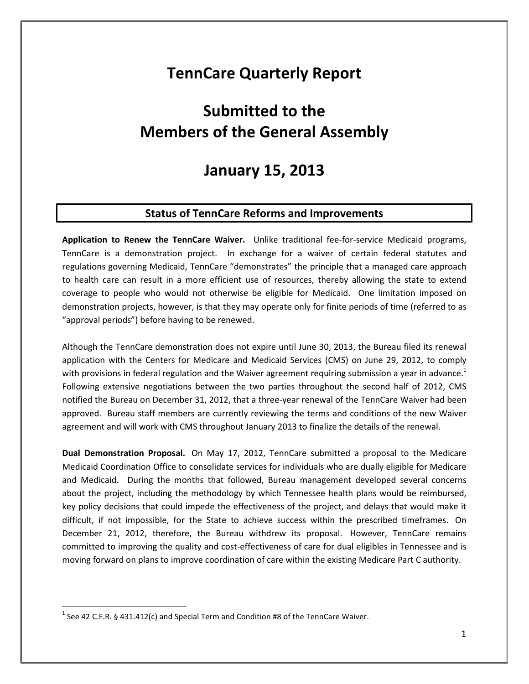## **TennCare Quarterly Report**

# **Submitted to the Members of the General Assembly**

## **January 15, 2013**

## **Status of TennCare Reforms and Improvements**

**Application to Renew the TennCare Waiver.** Unlike traditional fee-for-service Medicaid programs, TennCare is a demonstration project. In exchange for a waiver of certain federal statutes and regulations governing Medicaid, TennCare "demonstrates" the principle that a managed care approach to health care can result in a more efficient use of resources, thereby allowing the state to extend coverage to people who would not otherwise be eligible for Medicaid. One limitation imposed on demonstration projects, however, is that they may operate only for finite periods of time (referred to as "approval periods") before having to be renewed.

Although the TennCare demonstration does not expire until June 30, 2013, the Bureau filed its renewal application with the Centers for Medicare and Medicaid Services (CMS) on June 29, 2012, to comply with provisions in federal regulation and the Waiver agreement requiring submission a year in advance.<sup>1</sup> Following extensive negotiations between the two parties throughout the second half of 2012, CMS notified the Bureau on December 31, 2012, that a three-year renewal of the TennCare Waiver had been approved. Bureau staff members are currently reviewing the terms and conditions of the new Waiver agreement and will work with CMS throughout January 2013 to finalize the details of the renewal.

**Dual Demonstration Proposal.** On May 17, 2012, TennCare submitted a proposal to the Medicare Medicaid Coordination Office to consolidate services for individuals who are dually eligible for Medicare and Medicaid. During the months that followed, Bureau management developed several concerns about the project, including the methodology by which Tennessee health plans would be reimbursed, key policy decisions that could impede the effectiveness of the project, and delays that would make it difficult, if not impossible, for the State to achieve success within the prescribed timeframes. On December 21, 2012, therefore, the Bureau withdrew its proposal. However, TennCare remains committed to improving the quality and cost-effectiveness of care for dual eligibles in Tennessee and is moving forward on plans to improve coordination of care within the existing Medicare Part C authority.

 $\overline{a}$ 

<sup>&</sup>lt;sup>1</sup> See 42 C.F.R. § 431.412(c) and Special Term and Condition #8 of the TennCare Waiver.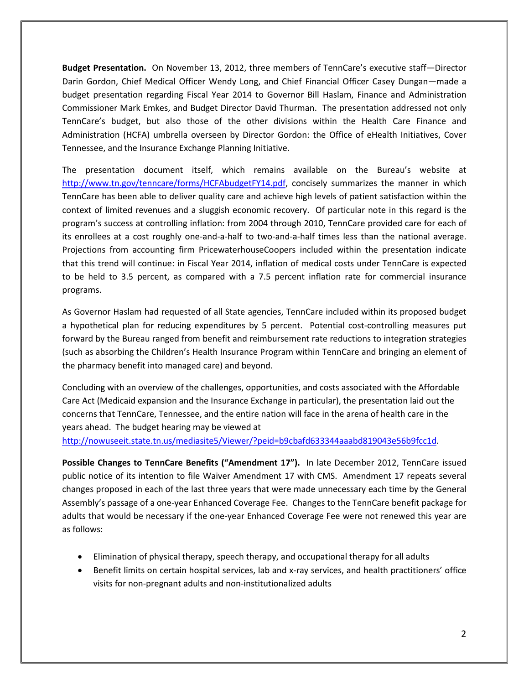**Budget Presentation.** On November 13, 2012, three members of TennCare's executive staff—Director Darin Gordon, Chief Medical Officer Wendy Long, and Chief Financial Officer Casey Dungan—made a budget presentation regarding Fiscal Year 2014 to Governor Bill Haslam, Finance and Administration Commissioner Mark Emkes, and Budget Director David Thurman. The presentation addressed not only TennCare's budget, but also those of the other divisions within the Health Care Finance and Administration (HCFA) umbrella overseen by Director Gordon: the Office of eHealth Initiatives, Cover Tennessee, and the Insurance Exchange Planning Initiative.

The presentation document itself, which remains available on the Bureau's website at http://www.tn.gov/tenncare/forms/HCFAbudgetFY14.pdf, concisely summarizes the manner in which TennCare has been able to deliver quality care and achieve high levels of patient satisfaction within the context of limited revenues and a sluggish economic recovery. Of particular note in this regard is the program's success at controlling inflation: from 2004 through 2010, TennCare provided care for each of its enrollees at a cost roughly one-and-a-half to two-and-a-half times less than the national average. Projections from accounting firm PricewaterhouseCoopers included within the presentation indicate that this trend will continue: in Fiscal Year 2014, inflation of medical costs under TennCare is expected to be held to 3.5 percent, as compared with a 7.5 percent inflation rate for commercial insurance programs.

As Governor Haslam had requested of all State agencies, TennCare included within its proposed budget a hypothetical plan for reducing expenditures by 5 percent. Potential cost-controlling measures put forward by the Bureau ranged from benefit and reimbursement rate reductions to integration strategies (such as absorbing the Children's Health Insurance Program within TennCare and bringing an element of the pharmacy benefit into managed care) and beyond.

Concluding with an overview of the challenges, opportunities, and costs associated with the Affordable Care Act (Medicaid expansion and the Insurance Exchange in particular), the presentation laid out the concerns that TennCare, Tennessee, and the entire nation will face in the arena of health care in the years ahead. The budget hearing may be viewed at

http://nowuseeit.state.tn.us/mediasite5/Viewer/?peid=b9cbafd633344aaabd819043e56b9fcc1d.

**Possible Changes to TennCare Benefits ("Amendment 17").** In late December 2012, TennCare issued public notice of its intention to file Waiver Amendment 17 with CMS. Amendment 17 repeats several changes proposed in each of the last three years that were made unnecessary each time by the General Assembly's passage of a one-year Enhanced Coverage Fee. Changes to the TennCare benefit package for adults that would be necessary if the one-year Enhanced Coverage Fee were not renewed this year are as follows:

- Elimination of physical therapy, speech therapy, and occupational therapy for all adults
- Benefit limits on certain hospital services, lab and x-ray services, and health practitioners' office visits for non-pregnant adults and non-institutionalized adults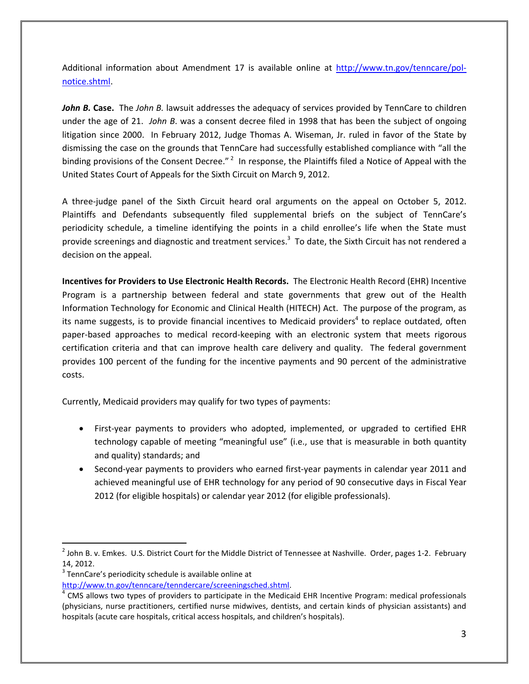Additional information about Amendment 17 is available online at http://www.tn.gov/tenncare/polnotice.shtml.

*John B.* **Case.** The *John B.* lawsuit addresses the adequacy of services provided by TennCare to children under the age of 21. *John B*. was a consent decree filed in 1998 that has been the subject of ongoing litigation since 2000. In February 2012, Judge Thomas A. Wiseman, Jr. ruled in favor of the State by dismissing the case on the grounds that TennCare had successfully established compliance with "all the binding provisions of the Consent Decree."<sup>2</sup> In response, the Plaintiffs filed a Notice of Appeal with the United States Court of Appeals for the Sixth Circuit on March 9, 2012.

A three-judge panel of the Sixth Circuit heard oral arguments on the appeal on October 5, 2012. Plaintiffs and Defendants subsequently filed supplemental briefs on the subject of TennCare's periodicity schedule, a timeline identifying the points in a child enrollee's life when the State must provide screenings and diagnostic and treatment services.<sup>3</sup> To date, the Sixth Circuit has not rendered a decision on the appeal.

**Incentives for Providers to Use Electronic Health Records.** The Electronic Health Record (EHR) Incentive Program is a partnership between federal and state governments that grew out of the Health Information Technology for Economic and Clinical Health (HITECH) Act. The purpose of the program, as its name suggests, is to provide financial incentives to Medicaid providers<sup>4</sup> to replace outdated, often paper-based approaches to medical record-keeping with an electronic system that meets rigorous certification criteria and that can improve health care delivery and quality. The federal government provides 100 percent of the funding for the incentive payments and 90 percent of the administrative costs.

Currently, Medicaid providers may qualify for two types of payments:

- First-year payments to providers who adopted, implemented, or upgraded to certified EHR technology capable of meeting "meaningful use" (i.e., use that is measurable in both quantity and quality) standards; and
- Second-year payments to providers who earned first-year payments in calendar year 2011 and achieved meaningful use of EHR technology for any period of 90 consecutive days in Fiscal Year 2012 (for eligible hospitals) or calendar year 2012 (for eligible professionals).

l

http://www.tn.gov/tenncare/tenndercare/screeningsched.shtml.

 $^2$  John B. v. Emkes. U.S. District Court for the Middle District of Tennessee at Nashville. Order, pages 1-2. February 14, 2012.

 $3$  TennCare's periodicity schedule is available online at

<sup>&</sup>lt;sup>4</sup> CMS allows two types of providers to participate in the Medicaid EHR Incentive Program: medical professionals (physicians, nurse practitioners, certified nurse midwives, dentists, and certain kinds of physician assistants) and hospitals (acute care hospitals, critical access hospitals, and children's hospitals).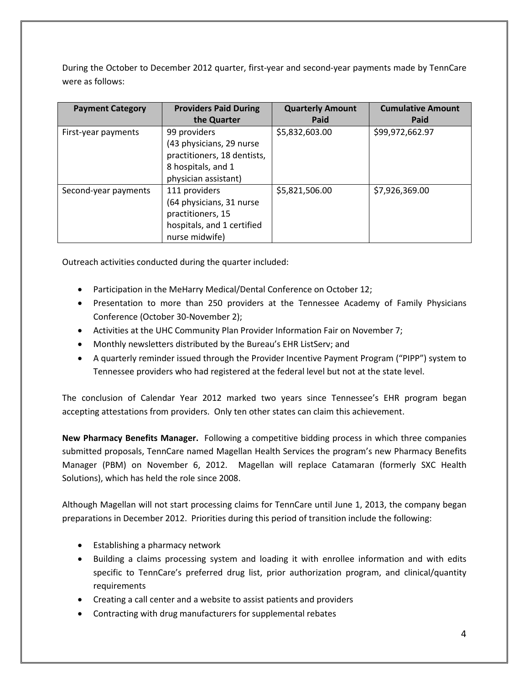During the October to December 2012 quarter, first-year and second-year payments made by TennCare were as follows:

| <b>Payment Category</b> | <b>Providers Paid During</b> | <b>Quarterly Amount</b> | <b>Cumulative Amount</b> |
|-------------------------|------------------------------|-------------------------|--------------------------|
|                         | the Quarter                  | Paid                    | Paid                     |
| First-year payments     | 99 providers                 | \$5,832,603.00          | \$99,972,662.97          |
|                         | (43 physicians, 29 nurse     |                         |                          |
|                         | practitioners, 18 dentists,  |                         |                          |
|                         | 8 hospitals, and 1           |                         |                          |
|                         | physician assistant)         |                         |                          |
| Second-year payments    | 111 providers                | \$5,821,506.00          | \$7,926,369.00           |
|                         | (64 physicians, 31 nurse     |                         |                          |
|                         | practitioners, 15            |                         |                          |
|                         | hospitals, and 1 certified   |                         |                          |
|                         | nurse midwife)               |                         |                          |

Outreach activities conducted during the quarter included:

- Participation in the MeHarry Medical/Dental Conference on October 12;
- Presentation to more than 250 providers at the Tennessee Academy of Family Physicians Conference (October 30-November 2);
- Activities at the UHC Community Plan Provider Information Fair on November 7;
- Monthly newsletters distributed by the Bureau's EHR ListServ; and
- A quarterly reminder issued through the Provider Incentive Payment Program ("PIPP") system to Tennessee providers who had registered at the federal level but not at the state level.

The conclusion of Calendar Year 2012 marked two years since Tennessee's EHR program began accepting attestations from providers. Only ten other states can claim this achievement.

**New Pharmacy Benefits Manager.** Following a competitive bidding process in which three companies submitted proposals, TennCare named Magellan Health Services the program's new Pharmacy Benefits Manager (PBM) on November 6, 2012. Magellan will replace Catamaran (formerly SXC Health Solutions), which has held the role since 2008.

Although Magellan will not start processing claims for TennCare until June 1, 2013, the company began preparations in December 2012. Priorities during this period of transition include the following:

- Establishing a pharmacy network
- Building a claims processing system and loading it with enrollee information and with edits specific to TennCare's preferred drug list, prior authorization program, and clinical/quantity requirements
- Creating a call center and a website to assist patients and providers
- Contracting with drug manufacturers for supplemental rebates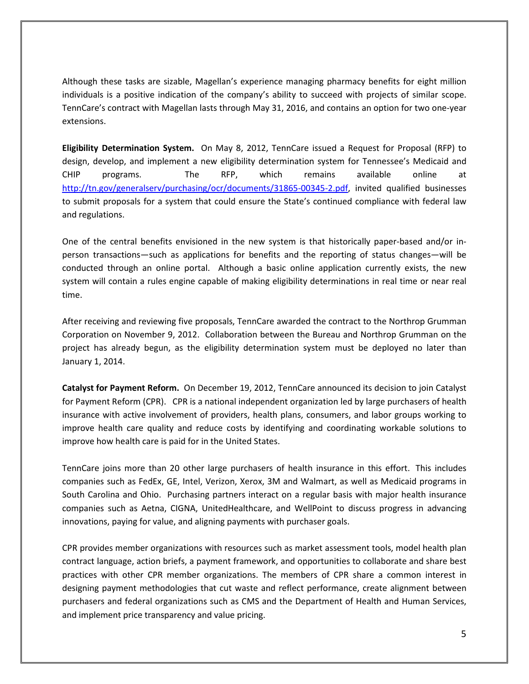Although these tasks are sizable, Magellan's experience managing pharmacy benefits for eight million individuals is a positive indication of the company's ability to succeed with projects of similar scope. TennCare's contract with Magellan lasts through May 31, 2016, and contains an option for two one-year extensions.

**Eligibility Determination System.** On May 8, 2012, TennCare issued a Request for Proposal (RFP) to design, develop, and implement a new eligibility determination system for Tennessee's Medicaid and CHIP programs. The RFP, which remains available online at http://tn.gov/generalserv/purchasing/ocr/documents/31865-00345-2.pdf, invited qualified businesses to submit proposals for a system that could ensure the State's continued compliance with federal law and regulations.

One of the central benefits envisioned in the new system is that historically paper-based and/or inperson transactions—such as applications for benefits and the reporting of status changes—will be conducted through an online portal. Although a basic online application currently exists, the new system will contain a rules engine capable of making eligibility determinations in real time or near real time.

After receiving and reviewing five proposals, TennCare awarded the contract to the Northrop Grumman Corporation on November 9, 2012. Collaboration between the Bureau and Northrop Grumman on the project has already begun, as the eligibility determination system must be deployed no later than January 1, 2014.

**Catalyst for Payment Reform.** On December 19, 2012, TennCare announced its decision to join Catalyst for Payment Reform (CPR). CPR is a national independent organization led by large purchasers of health insurance with active involvement of providers, health plans, consumers, and labor groups working to improve health care quality and reduce costs by identifying and coordinating workable solutions to improve how health care is paid for in the United States.

TennCare joins more than 20 other large purchasers of health insurance in this effort. This includes companies such as FedEx, GE, Intel, Verizon, Xerox, 3M and Walmart, as well as Medicaid programs in South Carolina and Ohio. Purchasing partners interact on a regular basis with major health insurance companies such as Aetna, CIGNA, UnitedHealthcare, and WellPoint to discuss progress in advancing innovations, paying for value, and aligning payments with purchaser goals.

CPR provides member organizations with resources such as market assessment tools, model health plan contract language, action briefs, a payment framework, and opportunities to collaborate and share best practices with other CPR member organizations. The members of CPR share a common interest in designing payment methodologies that cut waste and reflect performance, create alignment between purchasers and federal organizations such as CMS and the Department of Health and Human Services, and implement price transparency and value pricing.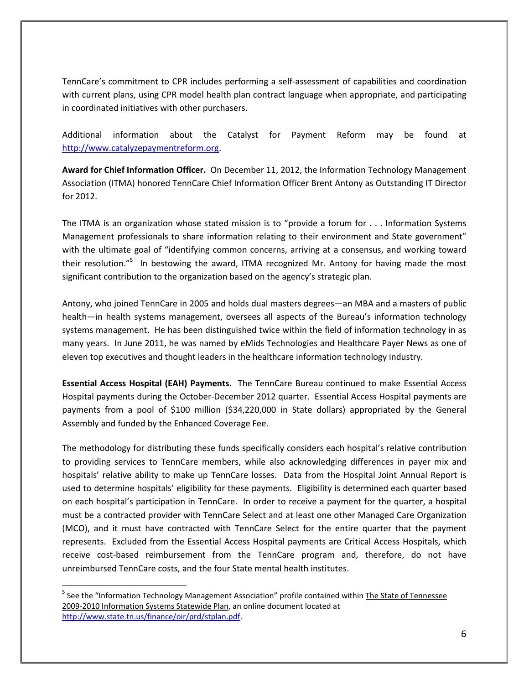TennCare's commitment to CPR includes performing a self-assessment of capabilities and coordination with current plans, using CPR model health plan contract language when appropriate, and participating in coordinated initiatives with other purchasers.

Additional information about the Catalyst for Payment Reform may be found at http://www.catalyzepaymentreform.org.

**Award for Chief Information Officer.** On December 11, 2012, the Information Technology Management Association (ITMA) honored TennCare Chief Information Officer Brent Antony as Outstanding IT Director for 2012.

The ITMA is an organization whose stated mission is to "provide a forum for . . . Information Systems Management professionals to share information relating to their environment and State government" with the ultimate goal of "identifying common concerns, arriving at a consensus, and working toward their resolution."<sup>5</sup> In bestowing the award, ITMA recognized Mr. Antony for having made the most significant contribution to the organization based on the agency's strategic plan.

Antony, who joined TennCare in 2005 and holds dual masters degrees—an MBA and a masters of public health—in health systems management, oversees all aspects of the Bureau's information technology systems management. He has been distinguished twice within the field of information technology in as many years. In June 2011, he was named by eMids Technologies and Healthcare Payer News as one of eleven top executives and thought leaders in the healthcare information technology industry.

**Essential Access Hospital (EAH) Payments.** The TennCare Bureau continued to make Essential Access Hospital payments during the October-December 2012 quarter. Essential Access Hospital payments are payments from a pool of \$100 million (\$34,220,000 in State dollars) appropriated by the General Assembly and funded by the Enhanced Coverage Fee.

The methodology for distributing these funds specifically considers each hospital's relative contribution to providing services to TennCare members, while also acknowledging differences in payer mix and hospitals' relative ability to make up TennCare losses. Data from the Hospital Joint Annual Report is used to determine hospitals' eligibility for these payments. Eligibility is determined each quarter based on each hospital's participation in TennCare. In order to receive a payment for the quarter, a hospital must be a contracted provider with TennCare Select and at least one other Managed Care Organization (MCO), and it must have contracted with TennCare Select for the entire quarter that the payment represents. Excluded from the Essential Access Hospital payments are Critical Access Hospitals, which receive cost-based reimbursement from the TennCare program and, therefore, do not have unreimbursed TennCare costs, and the four State mental health institutes.

 $\overline{a}$ 

<sup>&</sup>lt;sup>5</sup> See the "Information Technology Management Association" profile contained within The State of Tennessee 2009-2010 Information Systems Statewide Plan, an online document located at http://www.state.tn.us/finance/oir/prd/stplan.pdf.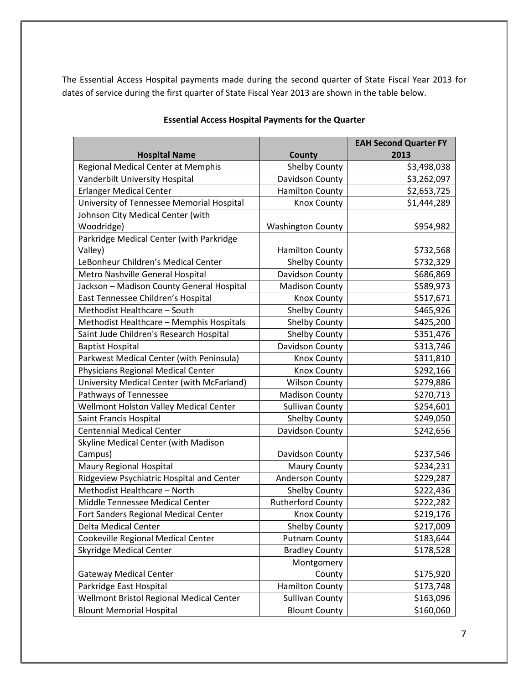The Essential Access Hospital payments made during the second quarter of State Fiscal Year 2013 for dates of service during the first quarter of State Fiscal Year 2013 are shown in the table below.

|                                            |                          | <b>EAH Second Quarter FY</b> |
|--------------------------------------------|--------------------------|------------------------------|
| <b>Hospital Name</b>                       | County                   | 2013                         |
| Regional Medical Center at Memphis         | <b>Shelby County</b>     | \$3,498,038                  |
| Vanderbilt University Hospital             | Davidson County          | \$3,262,097                  |
| <b>Erlanger Medical Center</b>             | <b>Hamilton County</b>   | \$2,653,725                  |
| University of Tennessee Memorial Hospital  | <b>Knox County</b>       | \$1,444,289                  |
| Johnson City Medical Center (with          |                          |                              |
| Woodridge)                                 | <b>Washington County</b> | \$954,982                    |
| Parkridge Medical Center (with Parkridge   |                          |                              |
| Valley)                                    | <b>Hamilton County</b>   | \$732,568                    |
| LeBonheur Children's Medical Center        | <b>Shelby County</b>     | \$732,329                    |
| Metro Nashville General Hospital           | Davidson County          | \$686,869                    |
| Jackson - Madison County General Hospital  | <b>Madison County</b>    | \$589,973                    |
| East Tennessee Children's Hospital         | <b>Knox County</b>       | \$517,671                    |
| Methodist Healthcare - South               | <b>Shelby County</b>     | \$465,926                    |
| Methodist Healthcare - Memphis Hospitals   | <b>Shelby County</b>     | \$425,200                    |
| Saint Jude Children's Research Hospital    | <b>Shelby County</b>     | \$351,476                    |
| <b>Baptist Hospital</b>                    | Davidson County          | \$313,746                    |
| Parkwest Medical Center (with Peninsula)   | <b>Knox County</b>       | \$311,810                    |
| Physicians Regional Medical Center         | <b>Knox County</b>       | \$292,166                    |
| University Medical Center (with McFarland) | <b>Wilson County</b>     | \$279,886                    |
| Pathways of Tennessee                      | <b>Madison County</b>    | \$270,713                    |
| Wellmont Holston Valley Medical Center     | <b>Sullivan County</b>   | \$254,601                    |
| Saint Francis Hospital                     | <b>Shelby County</b>     | \$249,050                    |
| <b>Centennial Medical Center</b>           | Davidson County          | \$242,656                    |
| Skyline Medical Center (with Madison       |                          |                              |
| Campus)                                    | Davidson County          | \$237,546                    |
| Maury Regional Hospital                    | <b>Maury County</b>      | \$234,231                    |
| Ridgeview Psychiatric Hospital and Center  | <b>Anderson County</b>   | \$229,287                    |
| Methodist Healthcare - North               | <b>Shelby County</b>     | \$222,436                    |
| Middle Tennessee Medical Center            | <b>Rutherford County</b> | \$222,282                    |
| Fort Sanders Regional Medical Center       | <b>Knox County</b>       | \$219,176                    |
| Delta Medical Center                       | <b>Shelby County</b>     | \$217,009                    |
| Cookeville Regional Medical Center         | <b>Putnam County</b>     | \$183,644                    |
| <b>Skyridge Medical Center</b>             | <b>Bradley County</b>    | \$178,528                    |
|                                            | Montgomery               |                              |
| <b>Gateway Medical Center</b>              | County                   | \$175,920                    |
| Parkridge East Hospital                    | <b>Hamilton County</b>   | \$173,748                    |
| Wellmont Bristol Regional Medical Center   | <b>Sullivan County</b>   | \$163,096                    |
| <b>Blount Memorial Hospital</b>            | <b>Blount County</b>     | \$160,060                    |

#### **Essential Access Hospital Payments for the Quarter**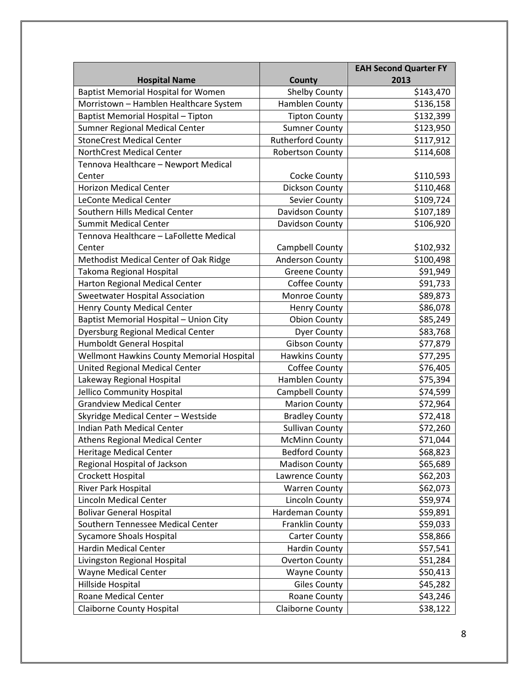|                                            |                          | <b>EAH Second Quarter FY</b> |
|--------------------------------------------|--------------------------|------------------------------|
| <b>Hospital Name</b>                       | County                   | 2013                         |
| <b>Baptist Memorial Hospital for Women</b> | <b>Shelby County</b>     | \$143,470                    |
| Morristown - Hamblen Healthcare System     | Hamblen County           | \$136,158                    |
| Baptist Memorial Hospital - Tipton         | <b>Tipton County</b>     | \$132,399                    |
| Sumner Regional Medical Center             | <b>Sumner County</b>     | \$123,950                    |
| <b>StoneCrest Medical Center</b>           | <b>Rutherford County</b> | \$117,912                    |
| NorthCrest Medical Center                  | <b>Robertson County</b>  | \$114,608                    |
| Tennova Healthcare - Newport Medical       |                          |                              |
| Center                                     | Cocke County             | \$110,593                    |
| <b>Horizon Medical Center</b>              | Dickson County           | \$110,468                    |
| <b>LeConte Medical Center</b>              | Sevier County            | \$109,724                    |
| Southern Hills Medical Center              | Davidson County          | \$107,189                    |
| <b>Summit Medical Center</b>               | Davidson County          | \$106,920                    |
| Tennova Healthcare - LaFollette Medical    |                          |                              |
| Center                                     | Campbell County          | \$102,932                    |
| Methodist Medical Center of Oak Ridge      | Anderson County          | \$100,498                    |
| Takoma Regional Hospital                   | <b>Greene County</b>     | \$91,949                     |
| Harton Regional Medical Center             | Coffee County            | \$91,733                     |
| <b>Sweetwater Hospital Association</b>     | Monroe County            | \$89,873                     |
| <b>Henry County Medical Center</b>         | <b>Henry County</b>      | \$86,078                     |
| Baptist Memorial Hospital - Union City     | <b>Obion County</b>      | \$85,249                     |
| <b>Dyersburg Regional Medical Center</b>   | <b>Dyer County</b>       | \$83,768                     |
| Humboldt General Hospital                  | <b>Gibson County</b>     | \$77,879                     |
| Wellmont Hawkins County Memorial Hospital  | <b>Hawkins County</b>    | \$77,295                     |
| United Regional Medical Center             | Coffee County            | \$76,405                     |
| Lakeway Regional Hospital                  | Hamblen County           | \$75,394                     |
| Jellico Community Hospital                 | Campbell County          | \$74,599                     |
| <b>Grandview Medical Center</b>            | <b>Marion County</b>     | \$72,964                     |
| Skyridge Medical Center - Westside         | <b>Bradley County</b>    | \$72,418                     |
| Indian Path Medical Center                 | <b>Sullivan County</b>   | \$72,260                     |
| <b>Athens Regional Medical Center</b>      | <b>McMinn County</b>     | \$71,044                     |
| Heritage Medical Center                    | <b>Bedford County</b>    | \$68,823                     |
| Regional Hospital of Jackson               | <b>Madison County</b>    | \$65,689                     |
| Crockett Hospital                          | Lawrence County          | \$62,203                     |
| River Park Hospital                        | <b>Warren County</b>     | \$62,073                     |
| <b>Lincoln Medical Center</b>              | Lincoln County           | \$59,974                     |
| <b>Bolivar General Hospital</b>            | Hardeman County          | \$59,891                     |
| Southern Tennessee Medical Center          | Franklin County          | \$59,033                     |
| <b>Sycamore Shoals Hospital</b>            | <b>Carter County</b>     | \$58,866                     |
| <b>Hardin Medical Center</b>               | <b>Hardin County</b>     | \$57,541                     |
| Livingston Regional Hospital               | <b>Overton County</b>    | \$51,284                     |
| Wayne Medical Center                       | <b>Wayne County</b>      | \$50,413                     |
| Hillside Hospital                          | <b>Giles County</b>      | \$45,282                     |
| <b>Roane Medical Center</b>                | Roane County             | \$43,246                     |
| <b>Claiborne County Hospital</b>           | Claiborne County         | \$38,122                     |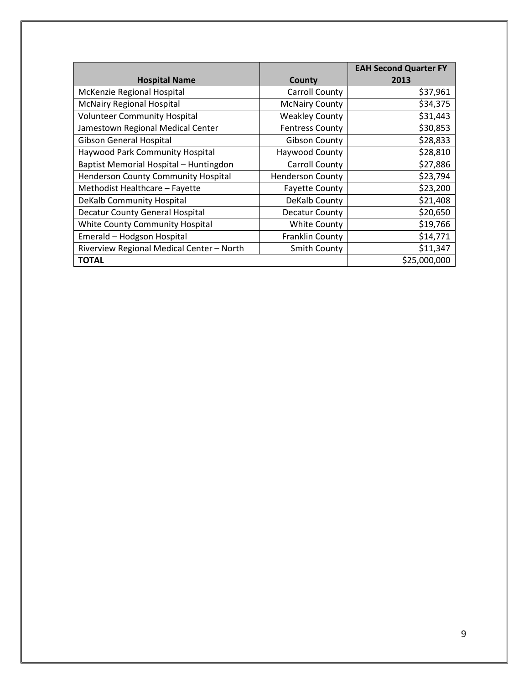|                                           |                         | <b>EAH Second Quarter FY</b> |
|-------------------------------------------|-------------------------|------------------------------|
| <b>Hospital Name</b>                      | County                  | 2013                         |
| McKenzie Regional Hospital                | Carroll County          | \$37,961                     |
| <b>McNairy Regional Hospital</b>          | <b>McNairy County</b>   | \$34,375                     |
| <b>Volunteer Community Hospital</b>       | <b>Weakley County</b>   | \$31,443                     |
| Jamestown Regional Medical Center         | <b>Fentress County</b>  | \$30,853                     |
| Gibson General Hospital                   | <b>Gibson County</b>    | \$28,833                     |
| Haywood Park Community Hospital           | Haywood County          | \$28,810                     |
| Baptist Memorial Hospital - Huntingdon    | <b>Carroll County</b>   | \$27,886                     |
| Henderson County Community Hospital       | <b>Henderson County</b> | \$23,794                     |
| Methodist Healthcare - Fayette            | <b>Fayette County</b>   | \$23,200                     |
| DeKalb Community Hospital                 | DeKalb County           | \$21,408                     |
| Decatur County General Hospital           | Decatur County          | \$20,650                     |
| White County Community Hospital           | <b>White County</b>     | \$19,766                     |
| Emerald - Hodgson Hospital                | Franklin County         | \$14,771                     |
| Riverview Regional Medical Center - North | <b>Smith County</b>     | \$11,347                     |
| <b>TOTAL</b>                              |                         | \$25,000,000                 |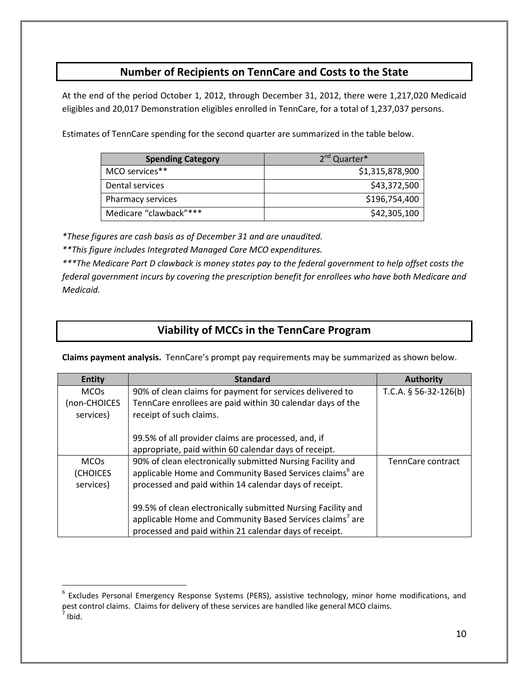## **Number of Recipients on TennCare and Costs to the State**

At the end of the period October 1, 2012, through December 31, 2012, there were 1,217,020 Medicaid eligibles and 20,017 Demonstration eligibles enrolled in TennCare, for a total of 1,237,037 persons.

Estimates of TennCare spending for the second quarter are summarized in the table below.

| <b>Spending Category</b> | 2 <sup>nd</sup> Quarter* |
|--------------------------|--------------------------|
| MCO services**           | \$1,315,878,900          |
| Dental services          | \$43,372,500             |
| Pharmacy services        | \$196,754,400            |
| Medicare "clawback"***   | \$42,305,100             |

*\*These figures are cash basis as of December 31 and are unaudited.* 

*\*\*This figure includes Integrated Managed Care MCO expenditures.* 

 $\overline{a}$ 

*\*\*\*The Medicare Part D clawback is money states pay to the federal government to help offset costs the federal government incurs by covering the prescription benefit for enrollees who have both Medicare and Medicaid.* 

## **Viability of MCCs in the TennCare Program**

**Claims payment analysis.** TennCare's prompt pay requirements may be summarized as shown below.

| <b>Entity</b>             | <b>Standard</b>                                                                       | <b>Authority</b>        |
|---------------------------|---------------------------------------------------------------------------------------|-------------------------|
| <b>MCOs</b>               | 90% of clean claims for payment for services delivered to                             | T.C.A. $§$ 56-32-126(b) |
| (non-CHOICES<br>services) | TennCare enrollees are paid within 30 calendar days of the<br>receipt of such claims. |                         |
|                           | 99.5% of all provider claims are processed, and, if                                   |                         |
|                           | appropriate, paid within 60 calendar days of receipt.                                 |                         |
| <b>MCOs</b>               | 90% of clean electronically submitted Nursing Facility and                            | TennCare contract       |
| (CHOICES                  | applicable Home and Community Based Services claims <sup>6</sup> are                  |                         |
| services)                 | processed and paid within 14 calendar days of receipt.                                |                         |
|                           | 99.5% of clean electronically submitted Nursing Facility and                          |                         |
|                           | applicable Home and Community Based Services claims <sup>7</sup> are                  |                         |
|                           | processed and paid within 21 calendar days of receipt.                                |                         |

<sup>&</sup>lt;sup>6</sup> Excludes Personal Emergency Response Systems (PERS), assistive technology, minor home modifications, and pest control claims. Claims for delivery of these services are handled like general MCO claims.  $^7$  Ibid.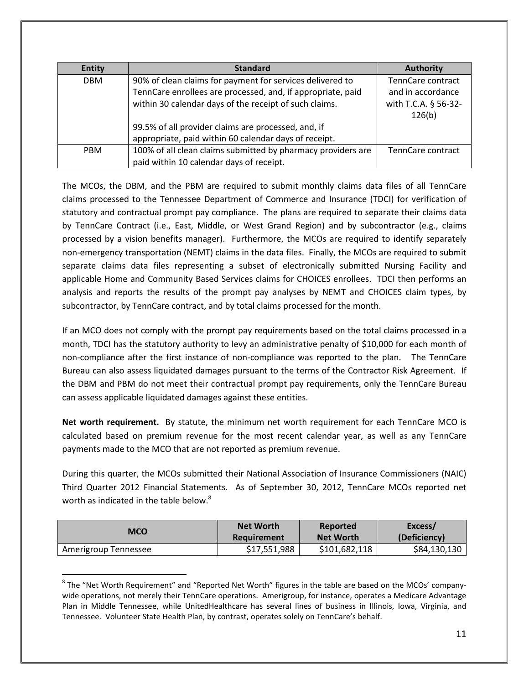| <b>Entity</b> | <b>Standard</b>                                              | <b>Authority</b>     |
|---------------|--------------------------------------------------------------|----------------------|
| <b>DBM</b>    | 90% of clean claims for payment for services delivered to    | TennCare contract    |
|               | TennCare enrollees are processed, and, if appropriate, paid  | and in accordance    |
|               | within 30 calendar days of the receipt of such claims.       | with T.C.A. § 56-32- |
|               |                                                              | 126(b)               |
|               | 99.5% of all provider claims are processed, and, if          |                      |
|               | appropriate, paid within 60 calendar days of receipt.        |                      |
| <b>PBM</b>    | 100% of all clean claims submitted by pharmacy providers are | TennCare contract    |
|               | paid within 10 calendar days of receipt.                     |                      |

The MCOs, the DBM, and the PBM are required to submit monthly claims data files of all TennCare claims processed to the Tennessee Department of Commerce and Insurance (TDCI) for verification of statutory and contractual prompt pay compliance. The plans are required to separate their claims data by TennCare Contract (i.e., East, Middle, or West Grand Region) and by subcontractor (e.g., claims processed by a vision benefits manager). Furthermore, the MCOs are required to identify separately non-emergency transportation (NEMT) claims in the data files. Finally, the MCOs are required to submit separate claims data files representing a subset of electronically submitted Nursing Facility and applicable Home and Community Based Services claims for CHOICES enrollees. TDCI then performs an analysis and reports the results of the prompt pay analyses by NEMT and CHOICES claim types, by subcontractor, by TennCare contract, and by total claims processed for the month.

If an MCO does not comply with the prompt pay requirements based on the total claims processed in a month, TDCI has the statutory authority to levy an administrative penalty of \$10,000 for each month of non-compliance after the first instance of non-compliance was reported to the plan. The TennCare Bureau can also assess liquidated damages pursuant to the terms of the Contractor Risk Agreement. If the DBM and PBM do not meet their contractual prompt pay requirements, only the TennCare Bureau can assess applicable liquidated damages against these entities.

**Net worth requirement.** By statute, the minimum net worth requirement for each TennCare MCO is calculated based on premium revenue for the most recent calendar year, as well as any TennCare payments made to the MCO that are not reported as premium revenue.

During this quarter, the MCOs submitted their National Association of Insurance Commissioners (NAIC) Third Quarter 2012 Financial Statements. As of September 30, 2012, TennCare MCOs reported net worth as indicated in the table below. $8$ 

| <b>MCO</b>           | <b>Net Worth</b> | Reported         | Excess/      |
|----------------------|------------------|------------------|--------------|
|                      | Requirement      | <b>Net Worth</b> | (Deficiency) |
| Amerigroup Tennessee | \$17,551,988     | \$101,682,118    | \$84,130,130 |

<sup>&</sup>lt;sup>8</sup> The "Net Worth Requirement" and "Reported Net Worth" figures in the table are based on the MCOs' companywide operations, not merely their TennCare operations. Amerigroup, for instance, operates a Medicare Advantage Plan in Middle Tennessee, while UnitedHealthcare has several lines of business in Illinois, Iowa, Virginia, and Tennessee. Volunteer State Health Plan, by contrast, operates solely on TennCare's behalf.

l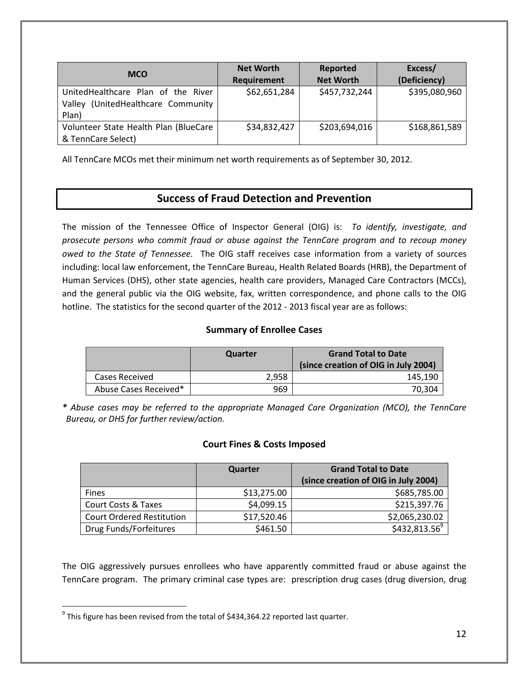| <b>MCO</b>                                                                           | <b>Net Worth</b><br>Requirement | Reported<br><b>Net Worth</b> | Excess/<br>(Deficiency) |
|--------------------------------------------------------------------------------------|---------------------------------|------------------------------|-------------------------|
| UnitedHealthcare Plan of the River<br>(UnitedHealthcare Community<br>Valley<br>Plan) | \$62,651,284                    | \$457,732,244                | \$395,080,960           |
| Volunteer State Health Plan (BlueCare<br>& TennCare Select)                          | \$34,832,427                    | \$203,694,016                | \$168,861,589           |

All TennCare MCOs met their minimum net worth requirements as of September 30, 2012.

## **Success of Fraud Detection and Prevention**

The mission of the Tennessee Office of Inspector General (OIG) is: *To identify, investigate, and prosecute persons who commit fraud or abuse against the TennCare program and to recoup money owed to the State of Tennessee.* The OIG staff receives case information from a variety of sources including: local law enforcement, the TennCare Bureau, Health Related Boards (HRB), the Department of Human Services (DHS), other state agencies, health care providers, Managed Care Contractors (MCCs), and the general public via the OIG website, fax, written correspondence, and phone calls to the OIG hotline. The statistics for the second quarter of the 2012 - 2013 fiscal year are as follows:

### **Summary of Enrollee Cases**

|                       | Quarter | <b>Grand Total to Date</b><br>(since creation of OIG in July 2004) |
|-----------------------|---------|--------------------------------------------------------------------|
| Cases Received        | 2.958   | 145.190                                                            |
| Abuse Cases Received* | 969     | 70.304                                                             |

*\* Abuse cases may be referred to the appropriate Managed Care Organization (MCO), the TennCare Bureau, or DHS for further review/action.* 

### **Court Fines & Costs Imposed**

|                                  | Quarter     | <b>Grand Total to Date</b>           |
|----------------------------------|-------------|--------------------------------------|
|                                  |             | (since creation of OIG in July 2004) |
| <b>Fines</b>                     | \$13,275.00 | \$685,785.00                         |
| <b>Court Costs &amp; Taxes</b>   | \$4,099.15  | \$215,397.76                         |
| <b>Court Ordered Restitution</b> | \$17,520.46 | \$2,065,230.02                       |
| Drug Funds/Forfeitures           | \$461.50    | $$432,813.56^9$                      |

The OIG aggressively pursues enrollees who have apparently committed fraud or abuse against the TennCare program. The primary criminal case types are: prescription drug cases (drug diversion, drug

 $\overline{a}$ 

 $^9$  This figure has been revised from the total of \$434,364.22 reported last quarter.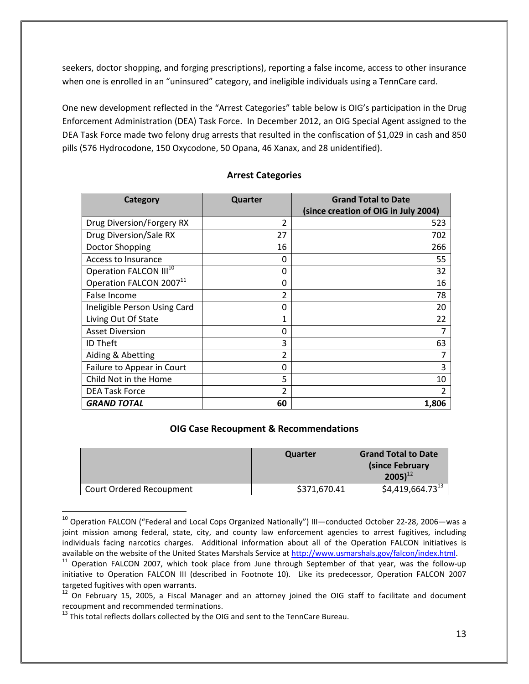seekers, doctor shopping, and forging prescriptions), reporting a false income, access to other insurance when one is enrolled in an "uninsured" category, and ineligible individuals using a TennCare card.

One new development reflected in the "Arrest Categories" table below is OIG's participation in the Drug Enforcement Administration (DEA) Task Force. In December 2012, an OIG Special Agent assigned to the DEA Task Force made two felony drug arrests that resulted in the confiscation of \$1,029 in cash and 850 pills (576 Hydrocodone, 150 Oxycodone, 50 Opana, 46 Xanax, and 28 unidentified).

| Category                            | Quarter        | <b>Grand Total to Date</b>           |
|-------------------------------------|----------------|--------------------------------------|
|                                     |                | (since creation of OIG in July 2004) |
| Drug Diversion/Forgery RX           | 2              | 523                                  |
| Drug Diversion/Sale RX              | 27             | 702                                  |
| Doctor Shopping                     | 16             | 266                                  |
| Access to Insurance                 | 0              | 55                                   |
| Operation FALCON III <sup>10</sup>  | 0              | 32                                   |
| Operation FALCON 2007 <sup>11</sup> | 0              | 16                                   |
| False Income                        | 2              | 78                                   |
| Ineligible Person Using Card        | 0              | 20                                   |
| Living Out Of State                 | 1              | 22                                   |
| <b>Asset Diversion</b>              | 0              |                                      |
| <b>ID Theft</b>                     | 3              | 63                                   |
| Aiding & Abetting                   | 2              |                                      |
| Failure to Appear in Court          | 0              | 3                                    |
| Child Not in the Home               | 5              | 10                                   |
| <b>DEA Task Force</b>               | $\overline{2}$ | $\overline{2}$                       |
| <b>GRAND TOTAL</b>                  | 60             | 1,806                                |

#### **Arrest Categories**

#### **OIG Case Recoupment & Recommendations**

|                          | Quarter      | <b>Grand Total to Date</b><br>(since February)<br>$2005$ <sup>12</sup> |
|--------------------------|--------------|------------------------------------------------------------------------|
| Court Ordered Recoupment | \$371,670.41 | $$4,419,664.73^{13}$$                                                  |

<sup>&</sup>lt;sup>10</sup> Operation FALCON ("Federal and Local Cops Organized Nationally") III—conducted October 22-28, 2006—was a joint mission among federal, state, city, and county law enforcement agencies to arrest fugitives, including individuals facing narcotics charges. Additional information about all of the Operation FALCON initiatives is available on the website of the United States Marshals Service at http://www.usmarshals.gov/falcon/index.html.

l

 $11$  Operation FALCON 2007, which took place from June through September of that year, was the follow-up initiative to Operation FALCON III (described in Footnote 10). Like its predecessor, Operation FALCON 2007 targeted fugitives with open warrants.

<sup>&</sup>lt;sup>12</sup> On February 15, 2005, a Fiscal Manager and an attorney joined the OIG staff to facilitate and document recoupment and recommended terminations.

 $13$  This total reflects dollars collected by the OIG and sent to the TennCare Bureau.